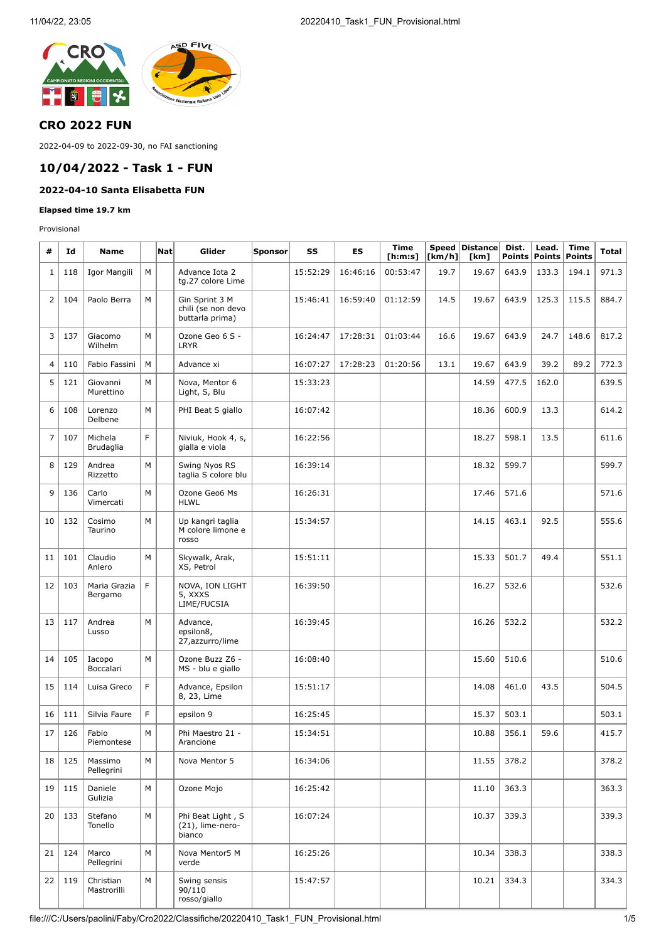

### **CRO 2022 FUN**

2022-04-09 to 2022-09-30, no FAI sanctioning

### **10/04/2022 - Task 1 - FUN**

## **2022-04-10 Santa Elisabetta FUN**

#### **Elapsed time 19.7 km**

Provisional

| #              | Id  | <b>Name</b>              |   | Nat | Glider                                                  | <b>Sponsor</b> | SS       | ES       | <b>Time</b><br>[h:m:s] | [km/h] | Speed Distance Dist.<br>[km] |       | Lead.<br>Points   Points | <b>Time</b><br><b>Points</b> | Total |
|----------------|-----|--------------------------|---|-----|---------------------------------------------------------|----------------|----------|----------|------------------------|--------|------------------------------|-------|--------------------------|------------------------------|-------|
| 1              | 118 | Igor Mangili             | М |     | Advance Iota 2<br>tg.27 colore Lime                     |                | 15:52:29 | 16:46:16 | 00:53:47               | 19.7   | 19.67                        | 643.9 | 133.3                    | 194.1                        | 971.3 |
| $\overline{2}$ | 104 | Paolo Berra              | М |     | Gin Sprint 3 M<br>chili (se non devo<br>buttarla prima) |                | 15:46:41 | 16:59:40 | 01:12:59               | 14.5   | 19.67                        | 643.9 | 125.3                    | 115.5                        | 884.7 |
| 3              | 137 | Giacomo<br>Wilhelm       | M |     | Ozone Geo 6 S -<br>LRYR                                 |                | 16:24:47 | 17:28:31 | 01:03:44               | 16.6   | 19.67                        | 643.9 | 24.7                     | 148.6                        | 817.2 |
| 4              | 110 | Fabio Fassini            | М |     | Advance xi                                              |                | 16:07:27 | 17:28:23 | 01:20:56               | 13.1   | 19.67                        | 643.9 | 39.2                     | 89.2                         | 772.3 |
| 5              | 121 | Giovanni<br>Murettino    | М |     | Nova, Mentor 6<br>Light, S, Blu                         |                | 15:33:23 |          |                        |        | 14.59                        | 477.5 | 162.0                    |                              | 639.5 |
| 6              | 108 | Lorenzo<br>Delbene       | M |     | PHI Beat S giallo                                       |                | 16:07:42 |          |                        |        | 18.36                        | 600.9 | 13.3                     |                              | 614.2 |
| 7              | 107 | Michela<br>Brudaglia     | F |     | Niviuk, Hook 4, s,<br>gialla e viola                    |                | 16:22:56 |          |                        |        | 18.27                        | 598.1 | 13.5                     |                              | 611.6 |
| 8              | 129 | Andrea<br>Rizzetto       | M |     | Swing Nyos RS<br>taglia S colore blu                    |                | 16:39:14 |          |                        |        | 18.32                        | 599.7 |                          |                              | 599.7 |
| 9              | 136 | Carlo<br>Vimercati       | М |     | Ozone Geo6 Ms<br><b>HLWL</b>                            |                | 16:26:31 |          |                        |        | 17.46                        | 571.6 |                          |                              | 571.6 |
| 10             | 132 | Cosimo<br>Taurino        | М |     | Up kangri taglia<br>M colore limone e<br>rosso          |                | 15:34:57 |          |                        |        | 14.15                        | 463.1 | 92.5                     |                              | 555.6 |
| 11             | 101 | Claudio<br>Anlero        | М |     | Skywalk, Arak,<br>XS, Petrol                            |                | 15:51:11 |          |                        |        | 15.33                        | 501.7 | 49.4                     |                              | 551.1 |
| 12             | 103 | Maria Grazia<br>Bergamo  | F |     | NOVA, ION LIGHT<br>5, XXXS<br>LIME/FUCSIA               |                | 16:39:50 |          |                        |        | 16.27                        | 532.6 |                          |                              | 532.6 |
| 13             | 117 | Andrea<br>Lusso          | M |     | Advance,<br>epsilon8,<br>27, azzurro/lime               |                | 16:39:45 |          |                        |        | 16.26                        | 532.2 |                          |                              | 532.2 |
| 14             | 105 | Iacopo<br>Boccalari      | M |     | Ozone Buzz Z6 -<br>MS - blu e giallo                    |                | 16:08:40 |          |                        |        | 15.60                        | 510.6 |                          |                              | 510.6 |
| 15             | 114 | Luisa Greco              | F |     | Advance, Epsilon<br>8, 23, Lime                         |                | 15:51:17 |          |                        |        | 14.08                        | 461.0 | 43.5                     |                              | 504.5 |
| 16             | 111 | Silvia Faure             | F |     | epsilon 9                                               |                | 16:25:45 |          |                        |        | 15.37                        | 503.1 |                          |                              | 503.1 |
| 17             | 126 | Fabio<br>Piemontese      | М |     | Phi Maestro 21 -<br>Arancione                           |                | 15:34:51 |          |                        |        | 10.88                        | 356.1 | 59.6                     |                              | 415.7 |
| 18             | 125 | Massimo<br>Pellegrini    | М |     | Nova Mentor 5                                           |                | 16:34:06 |          |                        |        | 11.55                        | 378.2 |                          |                              | 378.2 |
| 19             | 115 | Daniele<br>Gulizia       | M |     | Ozone Mojo                                              |                | 16:25:42 |          |                        |        | 11.10                        | 363.3 |                          |                              | 363.3 |
| 20             | 133 | Stefano<br>Tonello       | M |     | Phi Beat Light, S<br>(21), lime-nero-<br>bianco         |                | 16:07:24 |          |                        |        | 10.37                        | 339.3 |                          |                              | 339.3 |
| 21             | 124 | Marco<br>Pellegrini      | М |     | Nova Mentor5 M<br>verde                                 |                | 16:25:26 |          |                        |        | 10.34                        | 338.3 |                          |                              | 338.3 |
| 22             | 119 | Christian<br>Mastrorilli | M |     | Swing sensis<br>90/110<br>rosso/giallo                  |                | 15:47:57 |          |                        |        | 10.21                        | 334.3 |                          |                              | 334.3 |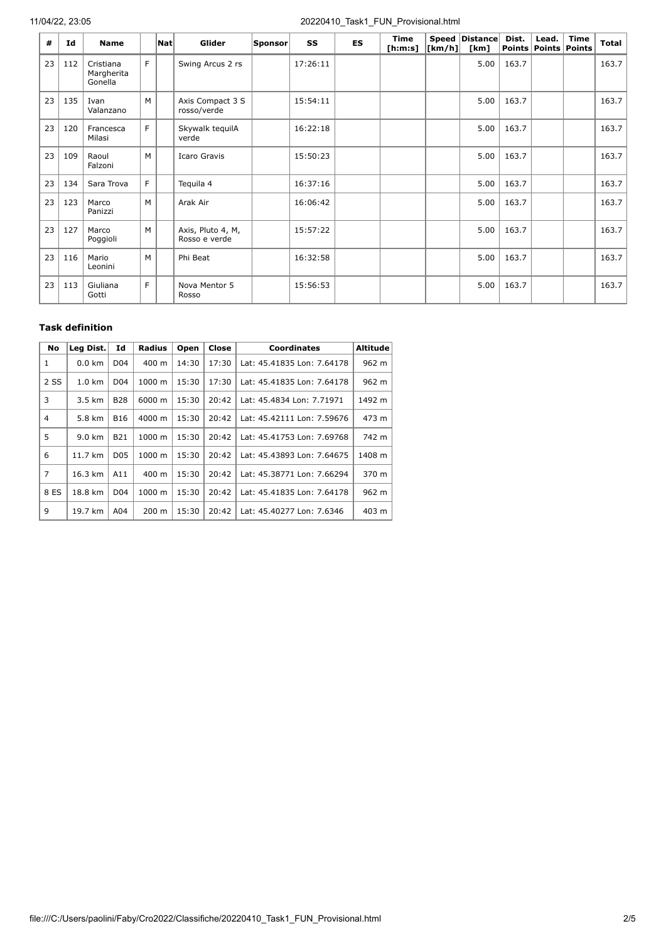#### 11/04/22, 23:05 20220410\_Task1\_FUN\_Provisional.html

| #  | Id  | <b>Name</b>                        |    | $\vert$ Nat $\vert$ | Glider                             | Sponsor | SS       | <b>ES</b> | <b>Time</b><br>[ <b>h</b> : <b>m</b> : <b>s</b> ] | [km/h] | Speed Distance<br>[km] | Dist. | Lead.<br>Points   Points   Points | <b>Time</b> | <b>Total</b> |
|----|-----|------------------------------------|----|---------------------|------------------------------------|---------|----------|-----------|---------------------------------------------------|--------|------------------------|-------|-----------------------------------|-------------|--------------|
| 23 | 112 | Cristiana<br>Margherita<br>Gonella | F. |                     | Swing Arcus 2 rs                   |         | 17:26:11 |           |                                                   |        | 5.00                   | 163.7 |                                   |             | 163.7        |
| 23 | 135 | Ivan<br>Valanzano                  | M  |                     | Axis Compact 3 S<br>rosso/verde    |         | 15:54:11 |           |                                                   |        | 5.00                   | 163.7 |                                   |             | 163.7        |
| 23 | 120 | Francesca<br>Milasi                | F. |                     | Skywalk tequilA<br>verde           |         | 16:22:18 |           |                                                   |        | 5.00                   | 163.7 |                                   |             | 163.7        |
| 23 | 109 | Raoul<br>Falzoni                   | M  |                     | Icaro Gravis                       |         | 15:50:23 |           |                                                   |        | 5.00                   | 163.7 |                                   |             | 163.7        |
| 23 | 134 | Sara Trova                         | F. |                     | Tequila 4                          |         | 16:37:16 |           |                                                   |        | 5.00                   | 163.7 |                                   |             | 163.7        |
| 23 | 123 | Marco<br>Panizzi                   | M  |                     | Arak Air                           |         | 16:06:42 |           |                                                   |        | 5.00                   | 163.7 |                                   |             | 163.7        |
| 23 | 127 | Marco<br>Poggioli                  | M  |                     | Axis, Pluto 4, M,<br>Rosso e verde |         | 15:57:22 |           |                                                   |        | 5.00                   | 163.7 |                                   |             | 163.7        |
| 23 | 116 | Mario<br>Leonini                   | M  |                     | Phi Beat                           |         | 16:32:58 |           |                                                   |        | 5.00                   | 163.7 |                                   |             | 163.7        |
| 23 | 113 | Giuliana<br>Gotti                  | F. |                     | Nova Mentor 5<br>Rosso             |         | 15:56:53 |           |                                                   |        | 5.00                   | 163.7 |                                   |             | 163.7        |

# **Task definition**

| <b>No</b>      | Leg Dist.        | Id              | <b>Radius</b>   | Open  | Close | <b>Coordinates</b>         | <b>Altitude</b> |
|----------------|------------------|-----------------|-----------------|-------|-------|----------------------------|-----------------|
| 1              | $0.0$ km         | D <sub>04</sub> | $400 \text{ m}$ | 14:30 | 17:30 | Lat: 45.41835 Lon: 7.64178 | 962 m           |
| 2 SS           | $1.0 \text{ km}$ | D <sub>04</sub> | 1000 m          | 15:30 | 17:30 | Lat: 45.41835 Lon: 7.64178 | 962 m           |
| 3              | $3.5 \text{ km}$ | <b>B28</b>      | 6000 m          | 15:30 | 20:42 | Lat: 45.4834 Lon: 7.71971  | 1492 m          |
| 4              | 5.8 km           | <b>B16</b>      | 4000 m          | 15:30 | 20:42 | Lat: 45.42111 Lon: 7.59676 | 473 m           |
| 5              | 9.0 km           | <b>B21</b>      | 1000 m          | 15:30 | 20:42 | Lat: 45.41753 Lon: 7.69768 | 742 m           |
| 6              | 11.7 km          | D <sub>05</sub> | 1000 m          | 15:30 | 20:42 | Lat: 45.43893 Lon: 7.64675 | 1408 m          |
| $\overline{7}$ | 16.3 km          | A11             | $400 \text{ m}$ | 15:30 | 20:42 | Lat: 45.38771 Lon: 7.66294 | 370 m           |
| 8 ES           | 18.8 km          | D <sub>04</sub> | 1000 m          | 15:30 | 20:42 | Lat: 45.41835 Lon: 7.64178 | 962 m           |
| 9              | 19.7 km          | A04             | $200 \text{ m}$ | 15:30 | 20:42 | Lat: 45.40277 Lon: 7.6346  | 403 m           |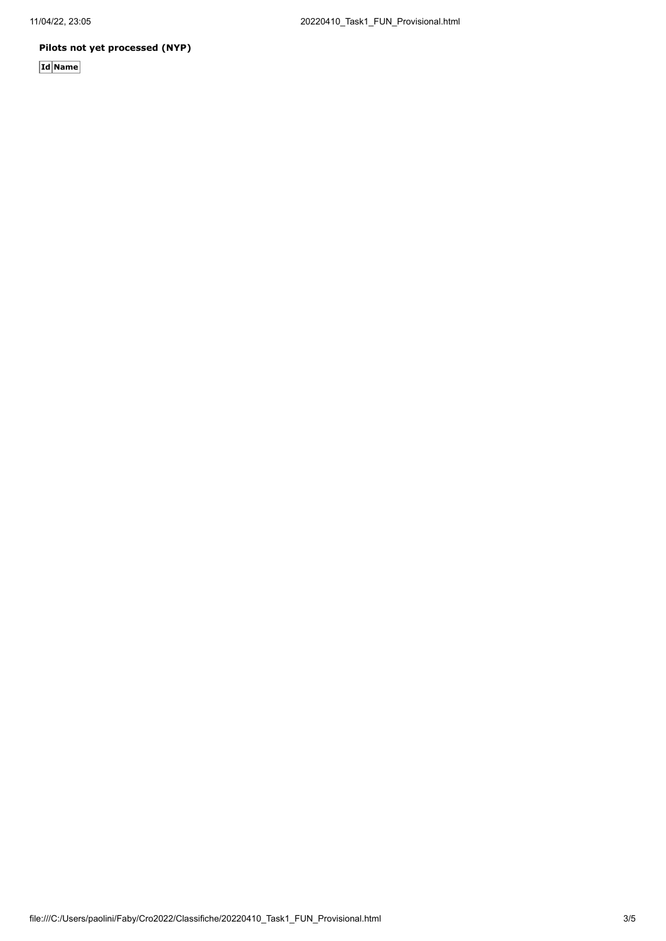#### **Pilots not yet processed (NYP)**

**Id Name**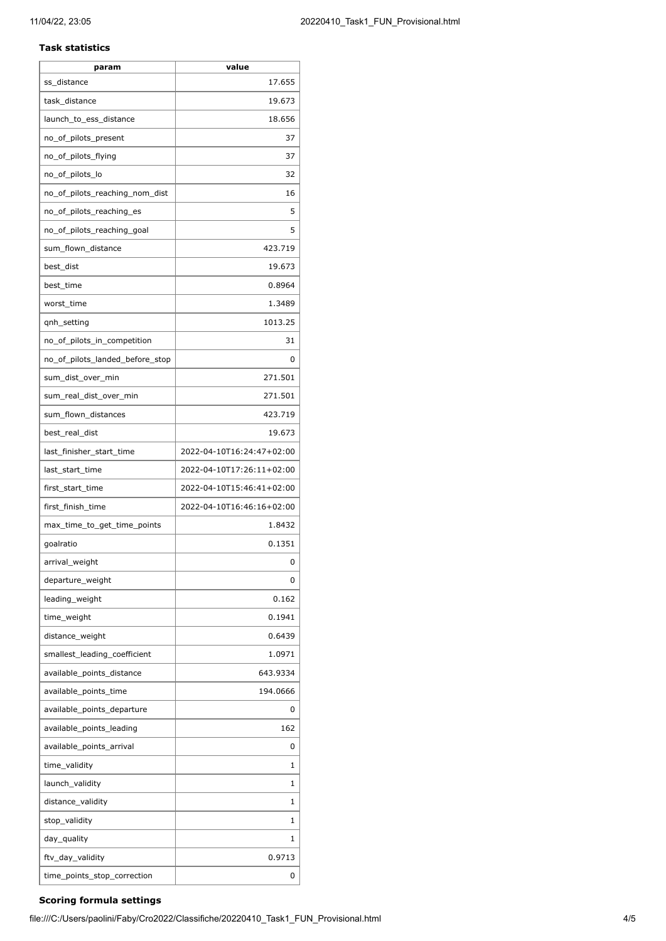#### **Task statistics**

| param                           | value                     |
|---------------------------------|---------------------------|
| ss_distance                     | 17.655                    |
| task_distance                   | 19.673                    |
| launch_to_ess_distance          | 18.656                    |
| no_of_pilots_present            | 37                        |
| no_of_pilots_flying             | 37                        |
| no_of_pilots_lo                 | 32                        |
| no_of_pilots_reaching_nom_dist  | 16                        |
| no_of_pilots_reaching_es        | 5                         |
| no_of_pilots_reaching_goal      | 5                         |
| sum_flown_distance              | 423.719                   |
| best_dist                       | 19.673                    |
| best_time                       | 0.8964                    |
| worst_time                      | 1.3489                    |
| gnh_setting                     | 1013.25                   |
| no_of_pilots_in_competition     | 31                        |
| no_of_pilots_landed_before_stop | 0                         |
| sum_dist_over_min               | 271.501                   |
| sum_real_dist_over_min          | 271.501                   |
| sum_flown_distances             | 423.719                   |
| best_real_dist                  | 19.673                    |
| last_finisher_start_time        | 2022-04-10T16:24:47+02:00 |
| last_start_time                 | 2022-04-10T17:26:11+02:00 |
| first_start_time                | 2022-04-10T15:46:41+02:00 |
| first finish time               | 2022-04-10T16:46:16+02:00 |
| max_time_to_get_time_points     | 1.8432                    |
| goalratio                       | 0.1351                    |
| arrival_weight                  | 0                         |
| departure_weight                | 0                         |
| leading_weight                  | 0.162                     |
| time_weight                     | 0.1941                    |
| distance_weight                 | 0.6439                    |
| smallest_leading_coefficient    | 1.0971                    |
| available_points_distance       | 643.9334                  |
| available_points_time           | 194.0666                  |
| available_points_departure      | 0                         |
| available_points_leading        | 162                       |
| available_points_arrival        | 0                         |
| time_validity                   | 1                         |
| launch_validity                 | 1                         |
| distance_validity               | 1                         |
| stop_validity                   | 1                         |
| day_quality                     | 1                         |
| ftv_day_validity                | 0.9713                    |
| time_points_stop_correction     | 0                         |
|                                 |                           |

#### **Scoring formula settings**